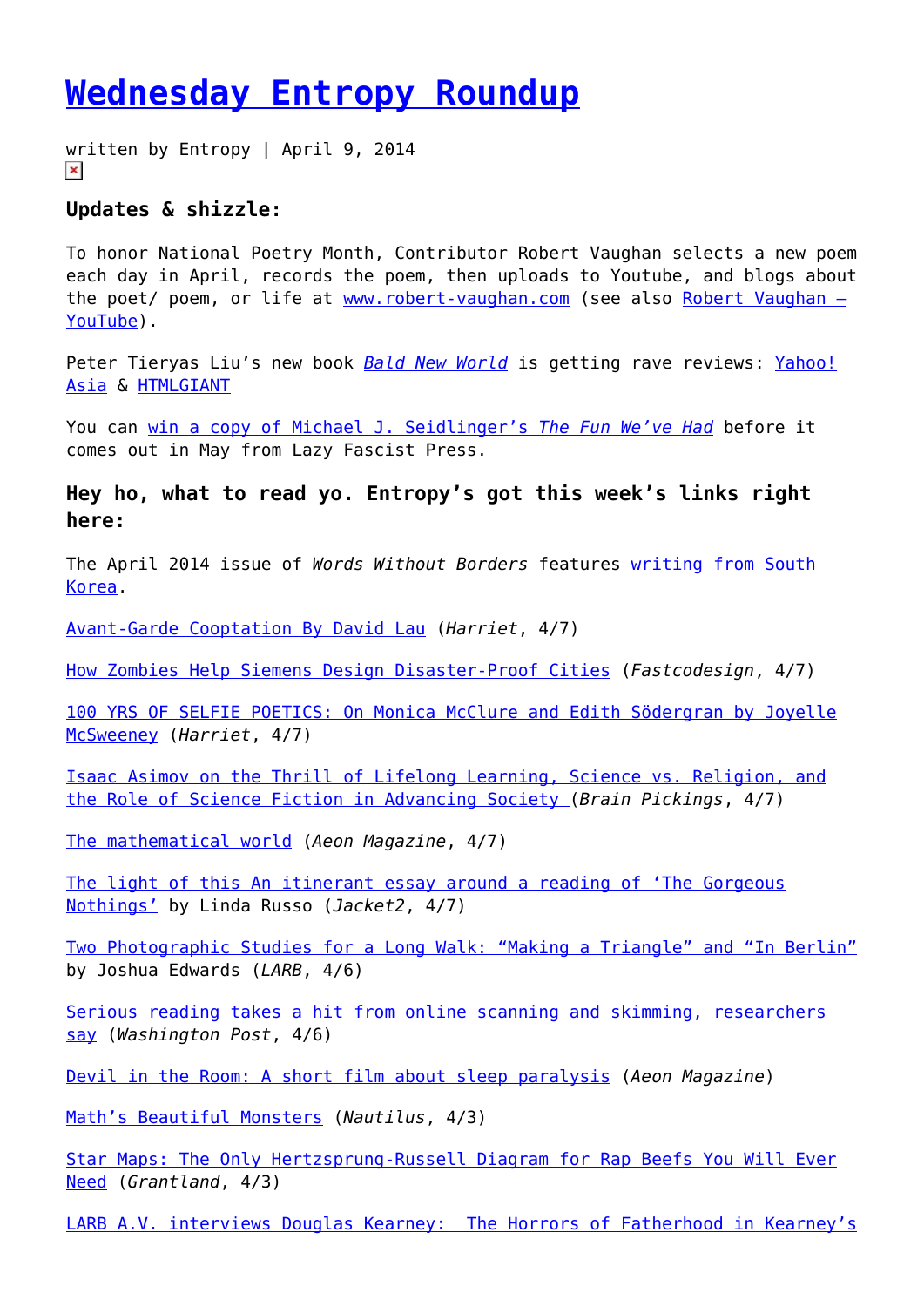## **[Wednesday Entropy Roundup](https://entropymag.org/wednesday-entropy-roundup-3/)**

written by Entropy | April 9, 2014  $\pmb{\times}$ 

## **Updates & shizzle:**

To honor National Poetry Month, Contributor Robert Vaughan selects a new poem each day in April, records the poem, then uploads to Youtube, and blogs about the poet/ poem, or life at [www.robert-vaughan.com](http://www.robert-vaughan.com) (see also Robert Vaughan  $-$ [YouTube\)](https://www.youtube.com/channel/UC1Rvu_dH8w3eGL8ARupspdQ/videos).

Peter Tieryas Liu's new book **[Bald New World](http://www.amazon.com/Bald-New-World-Peter-Tieryas/dp/1782795081)** is getting rave reviews: [Yahoo!](https://ph.news.yahoo.com/bald-world-writer-talks-murakami-comparisons-095219660.html) [Asia](https://ph.news.yahoo.com/bald-world-writer-talks-murakami-comparisons-095219660.html) & [HTMLGIANT](http://htmlgiant.com/reviews/bald-new-world-by-peter-tieryas-liu/)

You can [win a copy of Michael J. Seidlinger's](http://poetry.rapgenius.com/Michael-j-seidlinger-the-fun-weve-had-excerpt-annotated) *[The Fun We've Had](http://poetry.rapgenius.com/Michael-j-seidlinger-the-fun-weve-had-excerpt-annotated)* before it comes out in May from Lazy Fascist Press.

**Hey ho, what to read yo. Entropy's got this week's links right here:**

The April 2014 issue of *Words Without Borders* features [writing from South](http://wordswithoutborders.org/issue/april-2014) [Korea.](http://wordswithoutborders.org/issue/april-2014)

[Avant-Garde Cooptation By David Lau](http://www.poetryfoundation.org/harriet/2014/04/avant-garde-cooptation/) (*Harriet*, 4/7)

[How Zombies Help Siemens Design Disaster-Proof Cities](http://www.fastcodesign.com/3028611/slicker-city/how-zombies-help-siemens-design-disaster-proof-cities?partner=rss) (*Fastcodesign*, 4/7)

[100 YRS OF SELFIE POETICS: On Monica McClure and Edith Södergran by Joyelle](http://www.poetryfoundation.org/harriet/2014/04/100-yrs-of-selfie-poetics-on-monica-mcclure-and-edith-sodergran/) [McSweeney](http://www.poetryfoundation.org/harriet/2014/04/100-yrs-of-selfie-poetics-on-monica-mcclure-and-edith-sodergran/) (*Harriet*, 4/7)

[Isaac Asimov on the Thrill of Lifelong Learning, Science vs. Religion, and](http://www.brainpickings.org/index.php/2014/04/07/isaac-asimov-bill-moyers-education-science-religion/) [the Role of Science Fiction in Advancing Society \(](http://www.brainpickings.org/index.php/2014/04/07/isaac-asimov-bill-moyers-education-science-religion/)*Brain Pickings*, 4/7)

[The mathematical world](http://aeon.co/magazine/world-views/what-is-left-for-mathematics-to-be-about/) (*Aeon Magazine*, 4/7)

[The light of this An itinerant essay around a reading of 'The Gorgeous](http://jacket2.org/reviews/light) [Nothings'](http://jacket2.org/reviews/light) by Linda Russo (*Jacket2*, 4/7)

[Two Photographic Studies for a Long Walk: "Making a Triangle" and "In Berlin"](http://lareviewofbooks.org/essay/two-photographic-studies-long-walk-making-triangle-berlin) by Joshua Edwards (*LARB*, 4/6)

[Serious reading takes a hit from online scanning and skimming, researchers](http://www.washingtonpost.com/local/serious-reading-takes-a-hit-from-online-scanning-and-skimming-researchers-say/2014/04/06/088028d2-b5d2-11e3-b899-20667de76985_story.html) [say](http://www.washingtonpost.com/local/serious-reading-takes-a-hit-from-online-scanning-and-skimming-researchers-say/2014/04/06/088028d2-b5d2-11e3-b899-20667de76985_story.html) (*Washington Post*, 4/6)

[Devil in the Room: A short film about sleep paralysis](http://aeon.co/film/the-devil-in-the-room-a-short-film-about-sleep-paralysis/) (*Aeon Magazine*)

[Math's Beautiful Monsters](http://nautil.us/issue/11/light/maths-beautiful-monsters) (*Nautilus*, 4/3)

[Star Maps: The Only Hertzsprung-Russell Diagram for Rap Beefs You Will Ever](http://grantland.com/hollywood-prospectus/star-maps-the-only-hertzsprung-russell-diagram-for-rap-beefs-you-will-ever-need/) [Need](http://grantland.com/hollywood-prospectus/star-maps-the-only-hertzsprung-russell-diagram-for-rap-beefs-you-will-ever-need/) (*Grantland*, 4/3)

[LARB A.V. interviews Douglas Kearney: The Horrors of Fatherhood in Kearney's](http://lareviewofbooks.org/interview/horrors-fatherhood-kearneys-newest-poetry-collection-patter/)